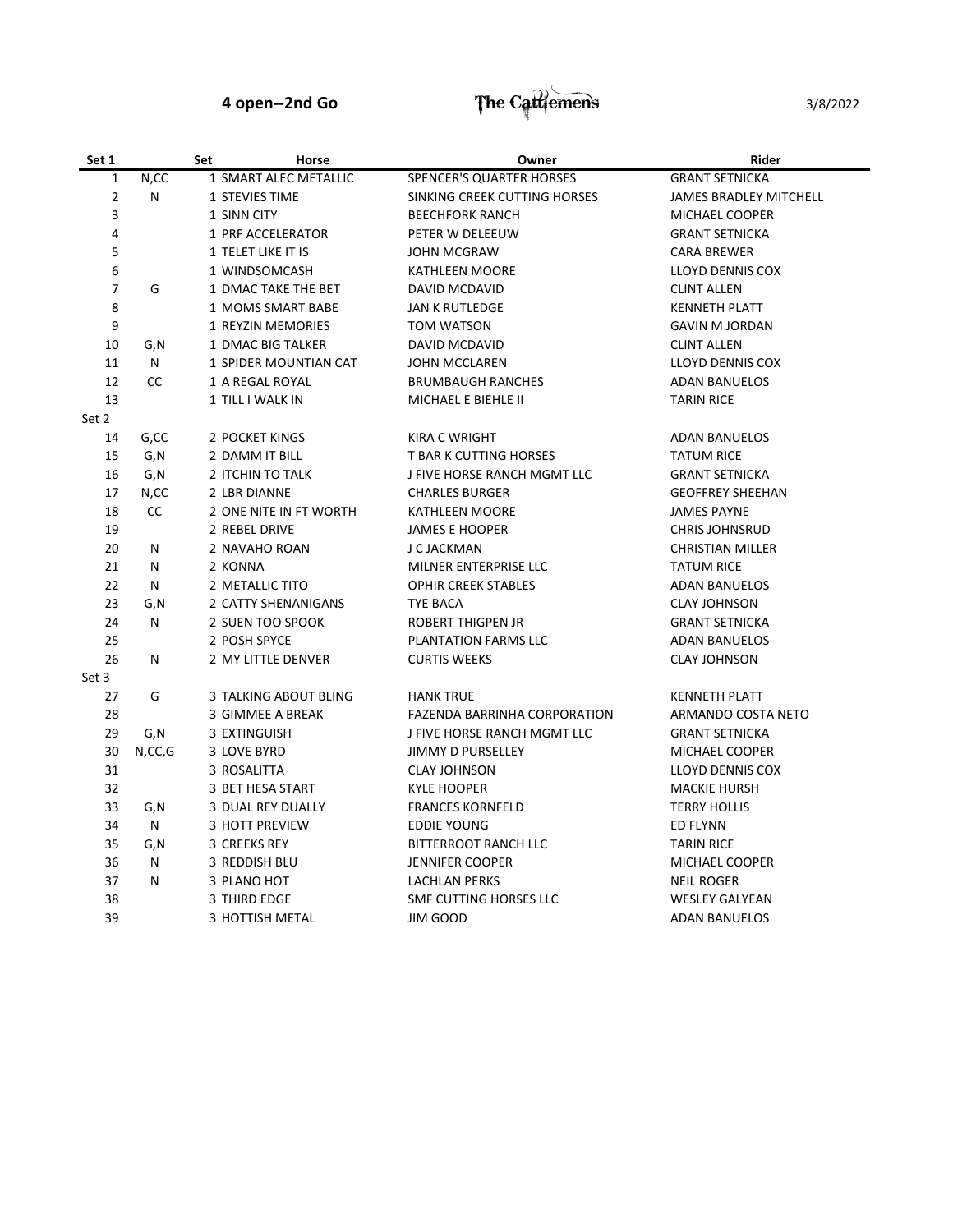## **4 open--2nd Go** The Cattlemens 3/8/2022

| Set 1          |           | Set | Horse                    | Owner                               | Rider                         |
|----------------|-----------|-----|--------------------------|-------------------------------------|-------------------------------|
| $\mathbf{1}$   | N,CC      |     | 1 SMART ALEC METALLIC    | <b>SPENCER'S QUARTER HORSES</b>     | <b>GRANT SETNICKA</b>         |
| $\overline{2}$ | N         |     | 1 STEVIES TIME           | SINKING CREEK CUTTING HORSES        | <b>JAMES BRADLEY MITCHELL</b> |
| 3              |           |     | 1 SINN CITY              | <b>BEECHFORK RANCH</b>              | MICHAEL COOPER                |
| 4              |           |     | 1 PRF ACCELERATOR        | PETER W DELEEUW                     | <b>GRANT SETNICKA</b>         |
| 5              |           |     | 1 TELET LIKE IT IS       | <b>JOHN MCGRAW</b>                  | <b>CARA BREWER</b>            |
| 6              |           |     | 1 WINDSOMCASH            | <b>KATHLEEN MOORE</b>               | <b>LLOYD DENNIS COX</b>       |
| $\overline{7}$ | G         |     | 1 DMAC TAKE THE BET      | DAVID MCDAVID                       | <b>CLINT ALLEN</b>            |
| 8              |           |     | 1 MOMS SMART BABE        | JAN K RUTLEDGE                      | <b>KENNETH PLATT</b>          |
| 9              |           |     | 1 REYZIN MEMORIES        | TOM WATSON                          | <b>GAVIN M JORDAN</b>         |
| 10             | G,N       |     | 1 DMAC BIG TALKER        | DAVID MCDAVID                       | <b>CLINT ALLEN</b>            |
| 11             | N         |     | 1 SPIDER MOUNTIAN CAT    | JOHN MCCLAREN                       | <b>LLOYD DENNIS COX</b>       |
| 12             | CC        |     | 1 A REGAL ROYAL          | <b>BRUMBAUGH RANCHES</b>            | <b>ADAN BANUELOS</b>          |
| 13             |           |     | 1 TILL I WALK IN         | MICHAEL E BIEHLE II                 | <b>TARIN RICE</b>             |
| Set 2          |           |     |                          |                                     |                               |
| 14             | G,CC      |     | 2 POCKET KINGS           | <b>KIRA C WRIGHT</b>                | <b>ADAN BANUELOS</b>          |
| 15             | G,N       |     | 2 DAMM IT BILL           | <b>T BAR K CUTTING HORSES</b>       | <b>TATUM RICE</b>             |
| 16             | G, N      |     | 2 ITCHIN TO TALK         | J FIVE HORSE RANCH MGMT LLC         | <b>GRANT SETNICKA</b>         |
| 17             | N,CC      |     | 2 LBR DIANNE             | <b>CHARLES BURGER</b>               | <b>GEOFFREY SHEEHAN</b>       |
| 18             | <b>CC</b> |     | 2 ONE NITE IN FT WORTH   | <b>KATHLEEN MOORE</b>               | <b>JAMES PAYNE</b>            |
| 19             |           |     | 2 REBEL DRIVE            | <b>JAMES E HOOPER</b>               | <b>CHRIS JOHNSRUD</b>         |
| 20             | N         |     | 2 NAVAHO ROAN            | J C JACKMAN                         | <b>CHRISTIAN MILLER</b>       |
| 21             | N         |     | 2 KONNA                  | MILNER ENTERPRISE LLC               | <b>TATUM RICE</b>             |
| 22             | N         |     | 2 METALLIC TITO          | <b>OPHIR CREEK STABLES</b>          | <b>ADAN BANUELOS</b>          |
| 23             | G,N       |     | 2 CATTY SHENANIGANS      | <b>TYE BACA</b>                     | <b>CLAY JOHNSON</b>           |
| 24             | N         |     | 2 SUEN TOO SPOOK         | ROBERT THIGPEN JR                   | <b>GRANT SETNICKA</b>         |
| 25             |           |     | 2 POSH SPYCE             | PLANTATION FARMS LLC                | <b>ADAN BANUELOS</b>          |
| 26             | N         |     | 2 MY LITTLE DENVER       | <b>CURTIS WEEKS</b>                 | <b>CLAY JOHNSON</b>           |
| Set 3          |           |     |                          |                                     |                               |
| 27             | G         |     | 3 TALKING ABOUT BLING    | <b>HANK TRUE</b>                    | <b>KENNETH PLATT</b>          |
| 28             |           |     | 3 GIMMEE A BREAK         | <b>FAZENDA BARRINHA CORPORATION</b> | ARMANDO COSTA NETO            |
| 29             | G,N       |     | 3 EXTINGUISH             | J FIVE HORSE RANCH MGMT LLC         | <b>GRANT SETNICKA</b>         |
| 30             | N,CC,G    |     | 3 LOVE BYRD              | <b>JIMMY D PURSELLEY</b>            | MICHAEL COOPER                |
| 31             |           |     | 3 ROSALITTA              | <b>CLAY JOHNSON</b>                 | <b>LLOYD DENNIS COX</b>       |
| 32             |           |     | 3 BET HESA START         | <b>KYLE HOOPER</b>                  | <b>MACKIE HURSH</b>           |
| 33             | G,N       |     | <b>3 DUAL REY DUALLY</b> | <b>FRANCES KORNFELD</b>             | <b>TERRY HOLLIS</b>           |
| 34             | N         |     | 3 HOTT PREVIEW           | <b>EDDIE YOUNG</b>                  | <b>ED FLYNN</b>               |
| 35             | G,N       |     | 3 CREEKS REY             | <b>BITTERROOT RANCH LLC</b>         | <b>TARIN RICE</b>             |
| 36             | N         |     | 3 REDDISH BLU            | <b>JENNIFER COOPER</b>              | <b>MICHAEL COOPER</b>         |
| 37             | N         |     | 3 PLANO HOT              | <b>LACHLAN PERKS</b>                | <b>NEIL ROGER</b>             |
| 38             |           |     | 3 THIRD EDGE             | SMF CUTTING HORSES LLC              | <b>WESLEY GALYEAN</b>         |
| 39             |           |     | 3 HOTTISH METAL          | <b>JIM GOOD</b>                     | <b>ADAN BANUELOS</b>          |